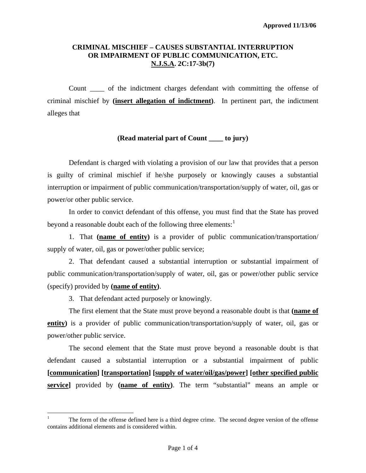## **CRIMINAL MISCHIEF – CAUSES SUBSTANTIAL INTERRUPTION OR IMPAIRMENT OF PUBLIC COMMUNICATION, ETC. N.J.S.A. 2C:17-3b(7)**

Count \_\_\_\_ of the indictment charges defendant with committing the offense of criminal mischief by **(insert allegation of indictment)**. In pertinent part, the indictment alleges that

## **(Read material part of Count \_\_\_\_ to jury)**

 Defendant is charged with violating a provision of our law that provides that a person is guilty of criminal mischief if he/she purposely or knowingly causes a substantial interruption or impairment of public communication/transportation/supply of water, oil, gas or power/or other public service.

 In order to convict defendant of this offense, you must find that the State has proved beyond a reasonable doubt each of the following three elements:<sup>[1](#page-0-0)</sup>

 1. That **(name of entity)** is a provider of public communication/transportation/ supply of water, oil, gas or power/other public service;

 2. That defendant caused a substantial interruption or substantial impairment of public communication/transportation/supply of water, oil, gas or power/other public service (specify) provided by **(name of entity)**.

3. That defendant acted purposely or knowingly.

 $\overline{a}$ 

 The first element that the State must prove beyond a reasonable doubt is that **(name of entity**) is a provider of public communication/transportation/supply of water, oil, gas or power/other public service.

<span id="page-0-1"></span> The second element that the State must prove beyond a reasonable doubt is that defendant caused a substantial interruption or a substantial impairment of public **[communication] [transportation] [supply of water/oil/gas/power] [other specified public service]** provided by **(name of entity)**. The term "substantial" means an ample or

<span id="page-0-0"></span><sup>1</sup> The form of the offense defined here is a third degree crime. The second degree version of the offense contains additional elements and is considered within.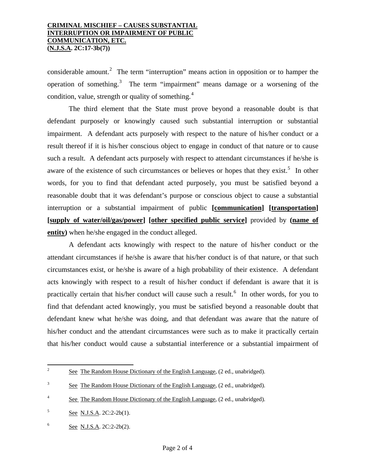## **CRIMINAL MISCHIEF – CAUSES SUBSTANTIAL INTERRUPTION OR IMPAIRMENT OF PUBLIC COMMUNICATION, ETC. (N.J.S.A. 2C:17-3b(7))**

considerable amount.<sup>[2](#page-0-1)</sup> The term "interruption" means action in opposition or to hamper the operation of something.<sup>[3](#page-1-0)</sup> The term "impairment" means damage or a worsening of the condition, value, strength or quality of something. $4$ 

 The third element that the State must prove beyond a reasonable doubt is that defendant purposely or knowingly caused such substantial interruption or substantial impairment. A defendant acts purposely with respect to the nature of his/her conduct or a result thereof if it is his/her conscious object to engage in conduct of that nature or to cause such a result. A defendant acts purposely with respect to attendant circumstances if he/she is aware of the existence of such circumstances or believes or hopes that they exist.<sup>[5](#page-1-2)</sup> In other words, for you to find that defendant acted purposely, you must be satisfied beyond a reasonable doubt that it was defendant's purpose or conscious object to cause a substantial interruption or a substantial impairment of public **[communication] [transportation] [supply of water/oil/gas/power] [other specified public service]** provided by **(name of entity)** when he/she engaged in the conduct alleged.

 A defendant acts knowingly with respect to the nature of his/her conduct or the attendant circumstances if he/she is aware that his/her conduct is of that nature, or that such circumstances exist, or he/she is aware of a high probability of their existence. A defendant acts knowingly with respect to a result of his/her conduct if defendant is aware that it is practically certain that his/her conduct will cause such a result.<sup>[6](#page-1-3)</sup> In other words, for you to find that defendant acted knowingly, you must be satisfied beyond a reasonable doubt that defendant knew what he/she was doing, and that defendant was aware that the nature of his/her conduct and the attendant circumstances were such as to make it practically certain that his/her conduct would cause a substantial interference or a substantial impairment of

 $\frac{1}{2}$ See The Random House Dictionary of the English Language, (2 ed., unabridged).

<span id="page-1-0"></span><sup>3</sup> See The Random House Dictionary of the English Language, (2 ed., unabridged).

<span id="page-1-4"></span><span id="page-1-1"></span><sup>4</sup> See The Random House Dictionary of the English Language, (2 ed., unabridged).

<span id="page-1-2"></span><sup>5</sup> See N.J.S.A. 2C:2-2b(1).

<span id="page-1-3"></span><sup>6</sup> See N.J.S.A. 2C:2-2b(2).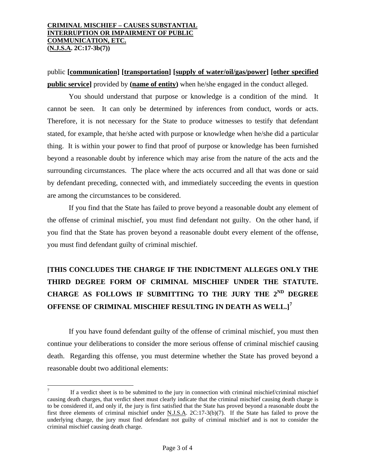public **[communication] [transportation] [supply of water/oil/gas/power] [other specified public service]** provided by **(name of entity)** when he/she engaged in the conduct alleged.

 You should understand that purpose or knowledge is a condition of the mind. It cannot be seen. It can only be determined by inferences from conduct, words or acts. Therefore, it is not necessary for the State to produce witnesses to testify that defendant stated, for example, that he/she acted with purpose or knowledge when he/she did a particular thing. It is within your power to find that proof of purpose or knowledge has been furnished beyond a reasonable doubt by inference which may arise from the nature of the acts and the surrounding circumstances. The place where the acts occurred and all that was done or said by defendant preceding, connected with, and immediately succeeding the events in question are among the circumstances to be considered.

 If you find that the State has failed to prove beyond a reasonable doubt any element of the offense of criminal mischief, you must find defendant not guilty. On the other hand, if you find that the State has proven beyond a reasonable doubt every element of the offense, you must find defendant guilty of criminal mischief.

## **[THIS CONCLUDES THE CHARGE IF THE INDICTMENT ALLEGES ONLY THE THIRD DEGREE FORM OF CRIMINAL MISCHIEF UNDER THE STATUTE. CHARGE AS FOLLOWS IF SUBMITTING TO THE JURY THE 2ND DEGREE OFFENSE OF CRIMINAL MISCHIEF RESULTING IN DEATH AS WELL.][7](#page-1-4)**

 If you have found defendant guilty of the offense of criminal mischief, you must then continue your deliberations to consider the more serious offense of criminal mischief causing death. Regarding this offense, you must determine whether the State has proved beyond a reasonable doubt two additional elements:

 $\overline{a}$ 

<span id="page-2-0"></span><sup>7</sup> If a verdict sheet is to be submitted to the jury in connection with criminal mischief/criminal mischief causing death charges, that verdict sheet must clearly indicate that the criminal mischief causing death charge is to be considered if, and only if, the jury is first satisfied that the State has proved beyond a reasonable doubt the first three elements of criminal mischief under N.J.S.A.  $2C:17-3(b)(7)$ . If the State has failed to prove the underlying charge, the jury must find defendant not guilty of criminal mischief and is not to consider the criminal mischief causing death charge.